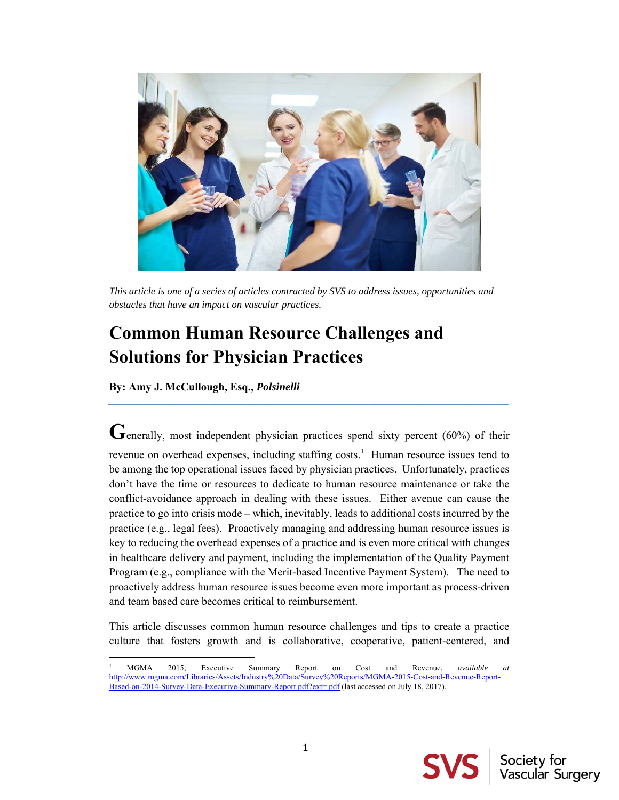

*This article is one of a series of articles contracted by SVS to address issues, opportunities and obstacles that have an impact on vascular practices.* 

# **Common Human Resource Challenges and Solutions for Physician Practices**

**By: Amy J. McCullough, Esq.,** *Polsinelli* 

Generally, most independent physician practices spend sixty percent (60%) of their revenue on overhead expenses, including staffing costs.<sup>1</sup> Human resource issues tend to be among the top operational issues faced by physician practices. Unfortunately, practices don't have the time or resources to dedicate to human resource maintenance or take the conflict-avoidance approach in dealing with these issues. Either avenue can cause the practice to go into crisis mode – which, inevitably, leads to additional costs incurred by the practice (e.g., legal fees). Proactively managing and addressing human resource issues is key to reducing the overhead expenses of a practice and is even more critical with changes in healthcare delivery and payment, including the implementation of the Quality Payment Program (e.g., compliance with the Merit-based Incentive Payment System). The need to proactively address human resource issues become even more important as process-driven and team based care becomes critical to reimbursement.

*\_\_\_\_\_\_\_\_\_\_\_\_\_\_\_\_\_\_\_\_\_\_\_\_\_\_\_\_\_\_\_\_\_\_\_\_\_\_\_\_\_\_\_\_\_\_\_\_\_\_\_\_\_\_\_\_\_\_\_\_\_\_\_\_\_\_\_\_\_\_\_\_* 

This article discusses common human resource challenges and tips to create a practice culture that fosters growth and is collaborative, cooperative, patient-centered, and



<sup>1</sup> MGMA 2015, Executive Summary Report on Cost and Revenue, *available at*  http://www.mgma.com/Libraries/Assets/Industry%20Data/Survey%20Reports/MGMA-2015-Cost-and-Revenue-Report-Based-on-2014-Survey-Data-Executive-Summary-Report.pdf?ext=.pdf (last accessed on July 18, 2017).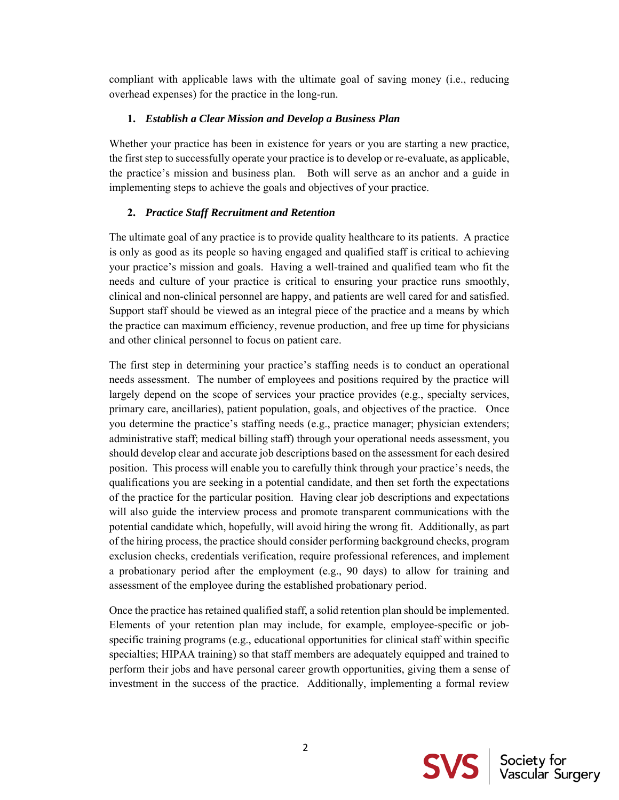compliant with applicable laws with the ultimate goal of saving money (i.e., reducing overhead expenses) for the practice in the long-run.

# **1.** *Establish a Clear Mission and Develop a Business Plan*

Whether your practice has been in existence for years or you are starting a new practice, the first step to successfully operate your practice is to develop or re-evaluate, as applicable, the practice's mission and business plan. Both will serve as an anchor and a guide in implementing steps to achieve the goals and objectives of your practice.

# **2.** *Practice Staff Recruitment and Retention*

The ultimate goal of any practice is to provide quality healthcare to its patients. A practice is only as good as its people so having engaged and qualified staff is critical to achieving your practice's mission and goals. Having a well-trained and qualified team who fit the needs and culture of your practice is critical to ensuring your practice runs smoothly, clinical and non-clinical personnel are happy, and patients are well cared for and satisfied. Support staff should be viewed as an integral piece of the practice and a means by which the practice can maximum efficiency, revenue production, and free up time for physicians and other clinical personnel to focus on patient care.

The first step in determining your practice's staffing needs is to conduct an operational needs assessment. The number of employees and positions required by the practice will largely depend on the scope of services your practice provides (e.g., specialty services, primary care, ancillaries), patient population, goals, and objectives of the practice. Once you determine the practice's staffing needs (e.g., practice manager; physician extenders; administrative staff; medical billing staff) through your operational needs assessment, you should develop clear and accurate job descriptions based on the assessment for each desired position. This process will enable you to carefully think through your practice's needs, the qualifications you are seeking in a potential candidate, and then set forth the expectations of the practice for the particular position. Having clear job descriptions and expectations will also guide the interview process and promote transparent communications with the potential candidate which, hopefully, will avoid hiring the wrong fit. Additionally, as part of the hiring process, the practice should consider performing background checks, program exclusion checks, credentials verification, require professional references, and implement a probationary period after the employment (e.g., 90 days) to allow for training and assessment of the employee during the established probationary period.

Once the practice has retained qualified staff, a solid retention plan should be implemented. Elements of your retention plan may include, for example, employee-specific or jobspecific training programs (e.g., educational opportunities for clinical staff within specific specialties; HIPAA training) so that staff members are adequately equipped and trained to perform their jobs and have personal career growth opportunities, giving them a sense of investment in the success of the practice. Additionally, implementing a formal review

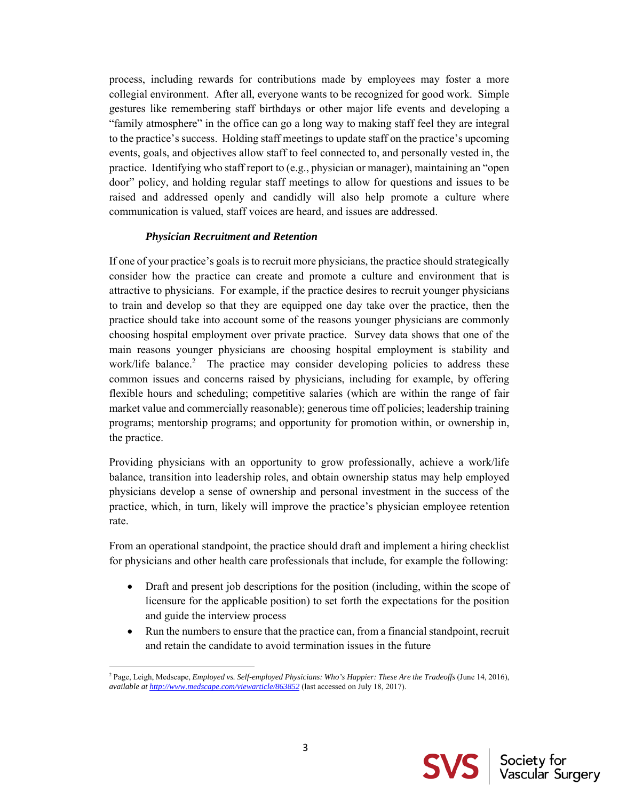process, including rewards for contributions made by employees may foster a more collegial environment. After all, everyone wants to be recognized for good work. Simple gestures like remembering staff birthdays or other major life events and developing a "family atmosphere" in the office can go a long way to making staff feel they are integral to the practice's success. Holding staff meetings to update staff on the practice's upcoming events, goals, and objectives allow staff to feel connected to, and personally vested in, the practice. Identifying who staff report to (e.g., physician or manager), maintaining an "open door" policy, and holding regular staff meetings to allow for questions and issues to be raised and addressed openly and candidly will also help promote a culture where communication is valued, staff voices are heard, and issues are addressed.

#### *Physician Recruitment and Retention*

If one of your practice's goals is to recruit more physicians, the practice should strategically consider how the practice can create and promote a culture and environment that is attractive to physicians. For example, if the practice desires to recruit younger physicians to train and develop so that they are equipped one day take over the practice, then the practice should take into account some of the reasons younger physicians are commonly choosing hospital employment over private practice. Survey data shows that one of the main reasons younger physicians are choosing hospital employment is stability and work/life balance.<sup>2</sup> The practice may consider developing policies to address these common issues and concerns raised by physicians, including for example, by offering flexible hours and scheduling; competitive salaries (which are within the range of fair market value and commercially reasonable); generous time off policies; leadership training programs; mentorship programs; and opportunity for promotion within, or ownership in, the practice.

Providing physicians with an opportunity to grow professionally, achieve a work/life balance, transition into leadership roles, and obtain ownership status may help employed physicians develop a sense of ownership and personal investment in the success of the practice, which, in turn, likely will improve the practice's physician employee retention rate.

From an operational standpoint, the practice should draft and implement a hiring checklist for physicians and other health care professionals that include, for example the following:

- Draft and present job descriptions for the position (including, within the scope of licensure for the applicable position) to set forth the expectations for the position and guide the interview process
- Run the numbers to ensure that the practice can, from a financial standpoint, recruit and retain the candidate to avoid termination issues in the future



<sup>&</sup>lt;sup>2</sup> Page, Leigh, Medscape, *Employed vs. Self-employed Physicians: Who's Happier: These Are the Tradeoffs (June 14, 2016)*, *available at http://www.medscape.com/viewarticle/863852* (last accessed on July 18, 2017).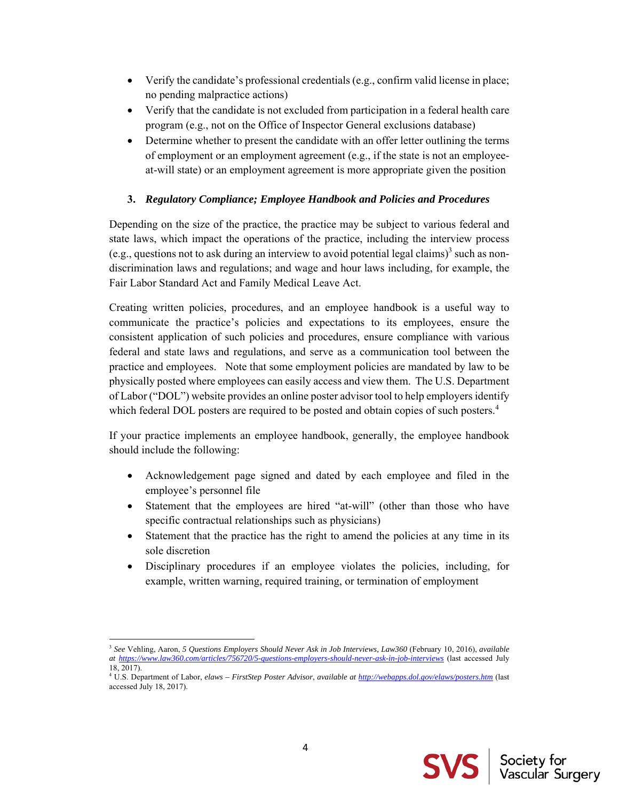- $\bullet$  Verify the candidate's professional credentials (e.g., confirm valid license in place; no pending malpractice actions)
- Verify that the candidate is not excluded from participation in a federal health care program (e.g., not on the Office of Inspector General exclusions database)
- Determine whether to present the candidate with an offer letter outlining the terms of employment or an employment agreement (e.g., if the state is not an employeeat-will state) or an employment agreement is more appropriate given the position

# **3.** *Regulatory Compliance; Employee Handbook and Policies and Procedures*

Depending on the size of the practice, the practice may be subject to various federal and state laws, which impact the operations of the practice, including the interview process (e.g., questions not to ask during an interview to avoid potential legal claims)<sup>3</sup> such as nondiscrimination laws and regulations; and wage and hour laws including, for example, the Fair Labor Standard Act and Family Medical Leave Act.

Creating written policies, procedures, and an employee handbook is a useful way to communicate the practice's policies and expectations to its employees, ensure the consistent application of such policies and procedures, ensure compliance with various federal and state laws and regulations, and serve as a communication tool between the practice and employees. Note that some employment policies are mandated by law to be physically posted where employees can easily access and view them. The U.S. Department of Labor ("DOL") website provides an online poster advisor tool to help employers identify which federal DOL posters are required to be posted and obtain copies of such posters.<sup>4</sup>

If your practice implements an employee handbook, generally, the employee handbook should include the following:

- Acknowledgement page signed and dated by each employee and filed in the employee's personnel file
- Statement that the employees are hired "at-will" (other than those who have specific contractual relationships such as physicians)
- Statement that the practice has the right to amend the policies at any time in its sole discretion
- Disciplinary procedures if an employee violates the policies, including, for example, written warning, required training, or termination of employment



 <sup>3</sup> See Vehling, Aaron, 5 Questions Employers Should Never Ask in Job Interviews, Law360 (February 10, 2016), *available at https://www.law360.com/articles/756720/5-questions-employers-should-never-ask-in-job-interviews* (last accessed July 18, 2017).

<sup>4</sup> U.S. Department of Labor, *elaws – FirstStep Poster Advisor*, *available at http://webapps.dol.gov/elaws/posters.htm* (last accessed July 18, 2017).